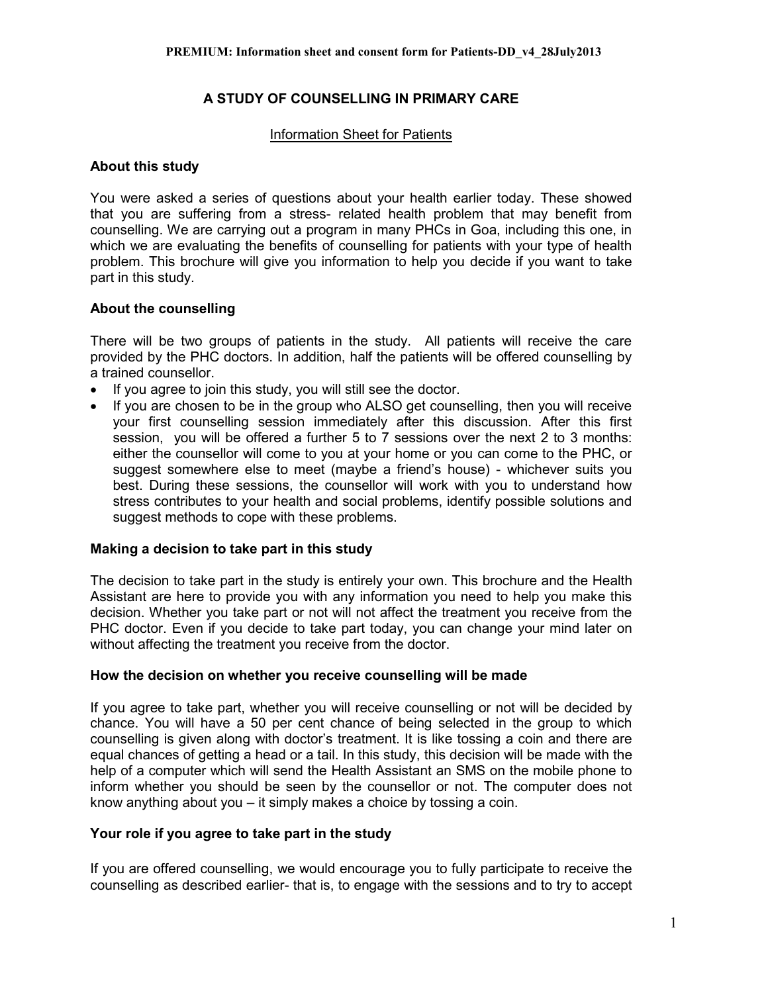## **A STUDY OF COUNSELLING IN PRIMARY CARE**

#### Information Sheet for Patients

#### **About this study**

You were asked a series of questions about your health earlier today. These showed that you are suffering from a stress- related health problem that may benefit from counselling. We are carrying out a program in many PHCs in Goa, including this one, in which we are evaluating the benefits of counselling for patients with your type of health problem. This brochure will give you information to help you decide if you want to take part in this study.

## **About the counselling**

There will be two groups of patients in the study. All patients will receive the care provided by the PHC doctors. In addition, half the patients will be offered counselling by a trained counsellor.

- If you agree to join this study, you will still see the doctor.
- If you are chosen to be in the group who ALSO get counselling, then you will receive your first counselling session immediately after this discussion. After this first session, you will be offered a further 5 to 7 sessions over the next 2 to 3 months: either the counsellor will come to you at your home or you can come to the PHC, or suggest somewhere else to meet (maybe a friend's house) - whichever suits you best. During these sessions, the counsellor will work with you to understand how stress contributes to your health and social problems, identify possible solutions and suggest methods to cope with these problems.

#### **Making a decision to take part in this study**

The decision to take part in the study is entirely your own. This brochure and the Health Assistant are here to provide you with any information you need to help you make this decision. Whether you take part or not will not affect the treatment you receive from the PHC doctor. Even if you decide to take part today, you can change your mind later on without affecting the treatment you receive from the doctor.

#### **How the decision on whether you receive counselling will be made**

If you agree to take part, whether you will receive counselling or not will be decided by chance. You will have a 50 per cent chance of being selected in the group to which counselling is given along with doctor's treatment. It is like tossing a coin and there are equal chances of getting a head or a tail. In this study, this decision will be made with the help of a computer which will send the Health Assistant an SMS on the mobile phone to inform whether you should be seen by the counsellor or not. The computer does not know anything about you – it simply makes a choice by tossing a coin.

#### **Your role if you agree to take part in the study**

If you are offered counselling, we would encourage you to fully participate to receive the counselling as described earlier- that is, to engage with the sessions and to try to accept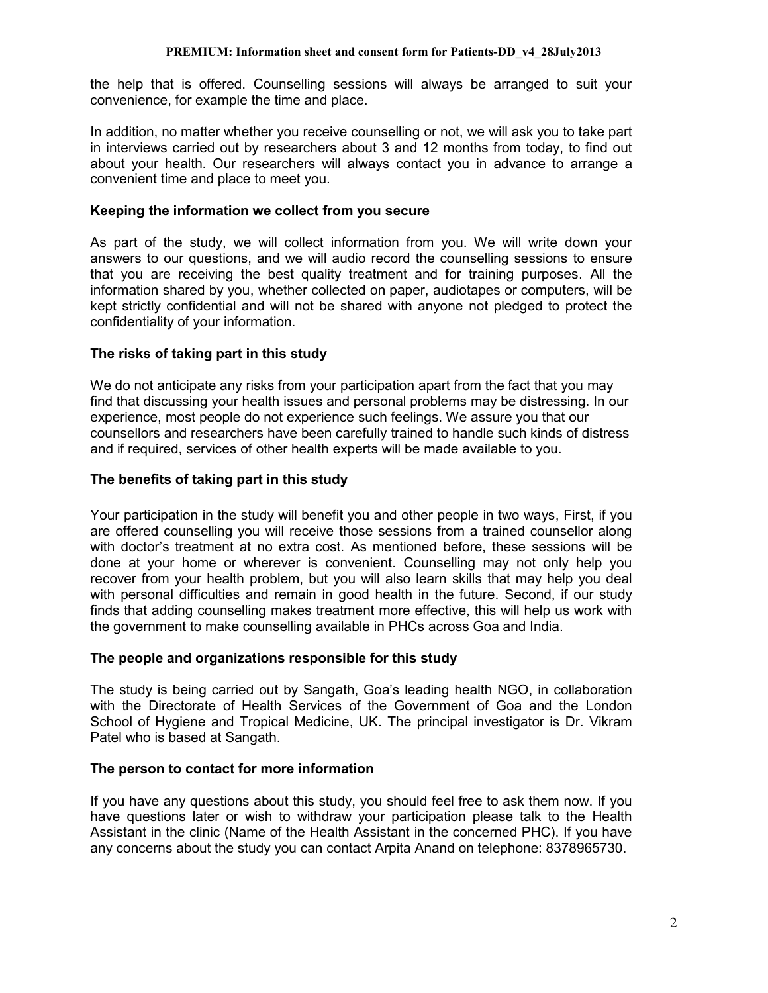the help that is offered. Counselling sessions will always be arranged to suit your convenience, for example the time and place.

In addition, no matter whether you receive counselling or not, we will ask you to take part in interviews carried out by researchers about 3 and 12 months from today, to find out about your health. Our researchers will always contact you in advance to arrange a convenient time and place to meet you.

## **Keeping the information we collect from you secure**

As part of the study, we will collect information from you. We will write down your answers to our questions, and we will audio record the counselling sessions to ensure that you are receiving the best quality treatment and for training purposes. All the information shared by you, whether collected on paper, audiotapes or computers, will be kept strictly confidential and will not be shared with anyone not pledged to protect the confidentiality of your information.

## **The risks of taking part in this study**

We do not anticipate any risks from your participation apart from the fact that you may find that discussing your health issues and personal problems may be distressing. In our experience, most people do not experience such feelings. We assure you that our counsellors and researchers have been carefully trained to handle such kinds of distress and if required, services of other health experts will be made available to you.

## **The benefits of taking part in this study**

Your participation in the study will benefit you and other people in two ways, First, if you are offered counselling you will receive those sessions from a trained counsellor along with doctor's treatment at no extra cost. As mentioned before, these sessions will be done at your home or wherever is convenient. Counselling may not only help you recover from your health problem, but you will also learn skills that may help you deal with personal difficulties and remain in good health in the future. Second, if our study finds that adding counselling makes treatment more effective, this will help us work with the government to make counselling available in PHCs across Goa and India.

#### **The people and organizations responsible for this study**

The study is being carried out by Sangath, Goa's leading health NGO, in collaboration with the Directorate of Health Services of the Government of Goa and the London School of Hygiene and Tropical Medicine, UK. The principal investigator is Dr. Vikram Patel who is based at Sangath.

## **The person to contact for more information**

If you have any questions about this study, you should feel free to ask them now. If you have questions later or wish to withdraw your participation please talk to the Health Assistant in the clinic (Name of the Health Assistant in the concerned PHC). If you have any concerns about the study you can contact Arpita Anand on telephone: 8378965730.